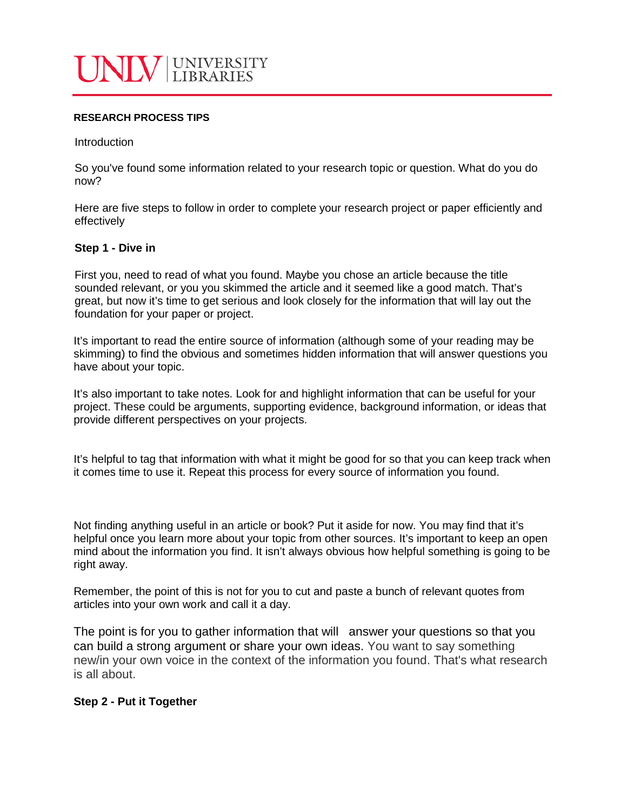

#### **RESEARCH PROCESS TIPS**

Introduction

So you've found some information related to your research topic or question. What do you do now?

Here are five steps to follow in order to complete your research project or paper efficiently and effectively

## **Step 1 - Dive in**

First you, need to read of what you found. Maybe you chose an article because the title sounded relevant, or you you skimmed the article and it seemed like a good match. That's great, but now it's time to get serious and look closely for the information that will lay out the foundation for your paper or project.

It's important to read the entire source of information (although some of your reading may be skimming) to find the obvious and sometimes hidden information that will answer questions you have about your topic.

It's also important to take notes. Look for and highlight information that can be useful for your project. These could be arguments, supporting evidence, background information, or ideas that provide different perspectives on your projects.

It's helpful to tag that information with what it might be good for so that you can keep track when it comes time to use it. Repeat this process for every source of information you found.

Not finding anything useful in an article or book? Put it aside for now. You may find that it's helpful once you learn more about your topic from other sources. It's important to keep an open mind about the information you find. It isn't always obvious how helpful something is going to be right away.

Remember, the point of this is not for you to cut and paste a bunch of relevant quotes from articles into your own work and call it a day.

The point is for you to gather information that will answer your questions so that you can build a strong argument or share your own ideas. You want to say something new/in your own voice in the context of the information you found. That's what research is all about.

### **Step 2 - Put it Together**